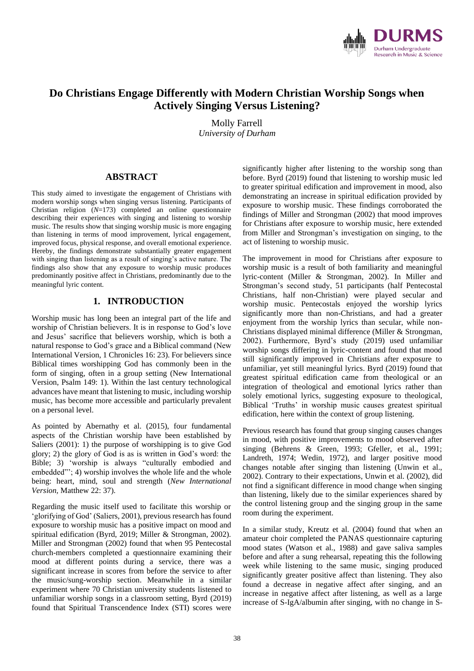

# **Do Christians Engage Differently with Modern Christian Worship Songs when Actively Singing Versus Listening?**

Molly Farrell *University of Durham*

### **ABSTRACT**

This study aimed to investigate the engagement of Christians with modern worship songs when singing versus listening. Participants of Christian religion (*N*=173) completed an online questionnaire describing their experiences with singing and listening to worship music. The results show that singing worship music is more engaging than listening in terms of mood improvement, lyrical engagement, improved focus, physical response, and overall emotional experience. Hereby, the findings demonstrate substantially greater engagement with singing than listening as a result of singing's active nature. The findings also show that any exposure to worship music produces predominantly positive affect in Christians, predominantly due to the meaningful lyric content.

## **1. INTRODUCTION**

Worship music has long been an integral part of the life and worship of Christian believers. It is in response to God's love and Jesus' sacrifice that believers worship, which is both a natural response to God's grace and a Biblical command (New International Version, 1 Chronicles 16: 23). For believers since Biblical times worshipping God has commonly been in the form of singing, often in a group setting (New International Version, Psalm 149: 1). Within the last century technological advances have meant that listening to music, including worship music, has become more accessible and particularly prevalent on a personal level.

As pointed by Abernathy et al. (2015), four fundamental aspects of the Christian worship have been established by Saliers (2001): 1) the purpose of worshipping is to give God glory; 2) the glory of God is as is written in God's word: the Bible; 3) 'worship is always "culturally embodied and embedded"'; 4) worship involves the whole life and the whole being: heart, mind, soul and strength (*New International Version,* Matthew 22: 37).

Regarding the music itself used to facilitate this worship or 'glorifying of God' (Saliers, 2001), previous research has found exposure to worship music has a positive impact on mood and spiritual edification (Byrd, 2019; Miller & Strongman, 2002). Miller and Strongman (2002) found that when 95 Pentecostal church-members completed a questionnaire examining their mood at different points during a service, there was a significant increase in scores from before the service to after the music/sung-worship section. Meanwhile in a similar experiment where 70 Christian university students listened to unfamiliar worship songs in a classroom setting, Byrd (2019) found that Spiritual Transcendence Index (STI) scores were

significantly higher after listening to the worship song than before. Byrd (2019) found that listening to worship music led to greater spiritual edification and improvement in mood, also demonstrating an increase in spiritual edification provided by exposure to worship music. These findings corroborated the findings of Miller and Strongman (2002) that mood improves for Christians after exposure to worship music, here extended from Miller and Strongman's investigation on singing, to the act of listening to worship music.

The improvement in mood for Christians after exposure to worship music is a result of both familiarity and meaningful lyric-content (Miller & Strongman, 2002). In Miller and Strongman's second study, 51 participants (half Pentecostal Christians, half non-Christian) were played secular and worship music. Pentecostals enjoyed the worship lyrics significantly more than non-Christians, and had a greater enjoyment from the worship lyrics than secular, while non-Christians displayed minimal difference (Miller & Strongman, 2002). Furthermore, Byrd's study (2019) used unfamiliar worship songs differing in lyric-content and found that mood still significantly improved in Christians after exposure to unfamiliar, yet still meaningful lyrics. Byrd (2019) found that greatest spiritual edification came from theological or an integration of theological and emotional lyrics rather than solely emotional lyrics, suggesting exposure to theological, Biblical 'Truths' in worship music causes greatest spiritual edification, here within the context of group listening.

Previous research has found that group singing causes changes in mood, with positive improvements to mood observed after singing (Behrens & Green, 1993; Gfeller, et al., 1991; Landreth, 1974; Wedin, 1972), and larger positive mood changes notable after singing than listening (Unwin et al., 2002). Contrary to their expectations, Unwin et al. (2002), did not find a significant difference in mood change when singing than listening, likely due to the similar experiences shared by the control listening group and the singing group in the same room during the experiment.

In a similar study, Kreutz et al. (2004) found that when an amateur choir completed the PANAS questionnaire capturing mood states (Watson et al., 1988) and gave saliva samples before and after a sung rehearsal, repeating this the following week while listening to the same music, singing produced significantly greater positive affect than listening. They also found a decrease in negative affect after singing, and an increase in negative affect after listening, as well as a large increase of S-IgA/albumin after singing, with no change in S-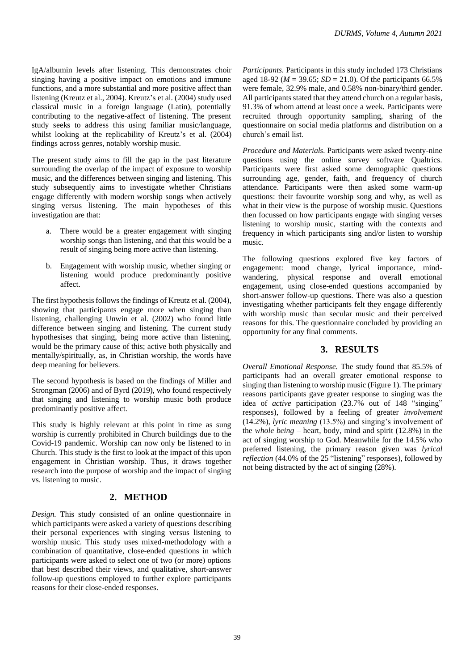IgA/albumin levels after listening. This demonstrates choir singing having a positive impact on emotions and immune functions, and a more substantial and more positive affect than listening (Kreutz et al., 2004). Kreutz's et al. (2004) study used classical music in a foreign language (Latin), potentially contributing to the negative-affect of listening. The present study seeks to address this using familiar music/language, whilst looking at the replicability of Kreutz's et al. (2004)

The present study aims to fill the gap in the past literature surrounding the overlap of the impact of exposure to worship music, and the differences between singing and listening. This study subsequently aims to investigate whether Christians engage differently with modern worship songs when actively singing versus listening. The main hypotheses of this investigation are that:

findings across genres, notably worship music.

- a. There would be a greater engagement with singing worship songs than listening, and that this would be a result of singing being more active than listening.
- b. Engagement with worship music, whether singing or listening would produce predominantly positive affect.

The first hypothesis follows the findings of Kreutz et al. (2004), showing that participants engage more when singing than listening, challenging Unwin et al. (2002) who found little difference between singing and listening. The current study hypothesises that singing, being more active than listening, would be the primary cause of this; active both physically and mentally/spiritually, as, in Christian worship, the words have deep meaning for believers.

The second hypothesis is based on the findings of Miller and Strongman (2006) and of Byrd (2019), who found respectively that singing and listening to worship music both produce predominantly positive affect.

This study is highly relevant at this point in time as sung worship is currently prohibited in Church buildings due to the Covid-19 pandemic. Worship can now only be listened to in Church. This study is the first to look at the impact of this upon engagement in Christian worship. Thus, it draws together research into the purpose of worship and the impact of singing vs. listening to music.

### **2. METHOD**

*Design.* This study consisted of an online questionnaire in which participants were asked a variety of questions describing their personal experiences with singing versus listening to worship music. This study uses mixed-methodology with a combination of quantitative, close-ended questions in which participants were asked to select one of two (or more) options that best described their views, and qualitative, short-answer follow-up questions employed to further explore participants reasons for their close-ended responses.

*Participants.* Participants in this study included 173 Christians aged 18-92 ( $M = 39.65$ ;  $SD = 21.0$ ). Of the participants 66.5% were female, 32.9% male, and 0.58% non-binary/third gender. All participants stated that they attend church on a regular basis, 91.3% of whom attend at least once a week. Participants were recruited through opportunity sampling, sharing of the questionnaire on social media platforms and distribution on a church's email list.

*Procedure and Materials.* Participants were asked twenty-nine questions using the online survey software Qualtrics. Participants were first asked some demographic questions surrounding age, gender, faith, and frequency of church attendance. Participants were then asked some warm-up questions: their favourite worship song and why, as well as what in their view is the purpose of worship music. Questions then focussed on how participants engage with singing verses listening to worship music, starting with the contexts and frequency in which participants sing and/or listen to worship music.

The following questions explored five key factors of engagement: mood change, lyrical importance, mindwandering, physical response and overall emotional engagement, using close-ended questions accompanied by short-answer follow-up questions. There was also a question investigating whether participants felt they engage differently with worship music than secular music and their perceived reasons for this. The questionnaire concluded by providing an opportunity for any final comments.

### **3. RESULTS**

*Overall Emotional Response.* The study found that 85.5% of participants had an overall greater emotional response to singing than listening to worship music (Figure 1). The primary reasons participants gave greater response to singing was the idea of *active* participation (23.7% out of 148 "singing" responses), followed by a feeling of greater *involvement* (14.2%), *lyric meaning* (13.5%) and singing's involvement of the *whole being* – heart, body, mind and spirit (12.8%) in the act of singing worship to God. Meanwhile for the 14.5% who preferred listening, the primary reason given was *lyrical reflection* (44.0% of the 25 "listening" responses), followed by not being distracted by the act of singing (28%).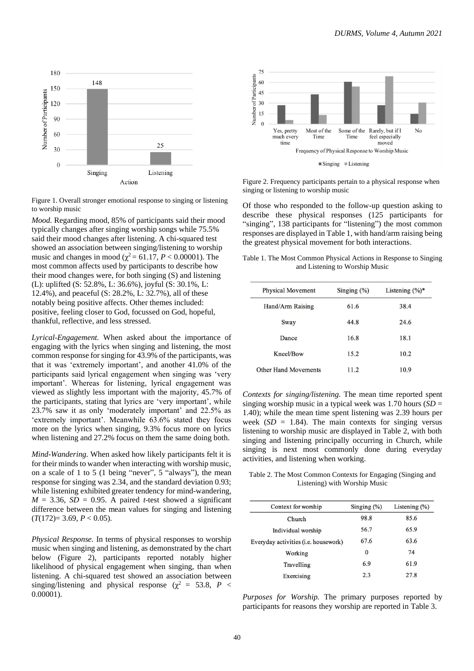

Figure 1. Overall stronger emotional response to singing or listening to worship music

*Mood.* Regarding mood, 85% of participants said their mood typically changes after singing worship songs while 75.5% said their mood changes after listening. A chi-squared test showed an association between singing/listening to worship music and changes in mood ( $\chi^2$  = 61.17, *P* < 0.00001). The most common affects used by participants to describe how their mood changes were, for both singing (S) and listening (L): uplifted (S: 52.8%, L: 36.6%), joyful (S: 30.1%, L: 12.4%), and peaceful (S: 28.2%, L: 32.7%), all of these notably being positive affects. Other themes included: positive, feeling closer to God, focussed on God, hopeful, thankful, reflective, and less stressed.

*Lyrical-Engagement.* When asked about the importance of engaging with the lyrics when singing and listening, the most common response for singing for 43.9% of the participants, was that it was 'extremely important', and another 41.0% of the participants said lyrical engagement when singing was 'very important'. Whereas for listening, lyrical engagement was viewed as slightly less important with the majority, 45.7% of the participants, stating that lyrics are 'very important', while 23.7% saw it as only 'moderately important' and 22.5% as 'extremely important'. Meanwhile 63.6% stated they focus more on the lyrics when singing, 9.3% focus more on lyrics when listening and 27.2% focus on them the same doing both.

*Mind-Wandering.* When asked how likely participants felt it is for their minds to wander when interacting with worship music, on a scale of 1 to 5 (1 being "never", 5 "always"), the mean response for singing was 2.34, and the standard deviation 0.93; while listening exhibited greater tendency for mind-wandering,  $M = 3.36$ ,  $SD = 0.95$ . A paired *t*-test showed a significant difference between the mean values for singing and listening  $(T(172)=3.69, P<0.05).$ 

*Physical Response.* In terms of physical responses to worship music when singing and listening, as demonstrated by the chart below (Figure 2), participants reported notably higher likelihood of physical engagement when singing, than when listening. A chi-squared test showed an association between singing/listening and physical response ( $\chi^2 = 53.8$ , *P* < 0.00001).



Figure 2. Frequency participants pertain to a physical response when singing or listening to worship music

Of those who responded to the follow-up question asking to describe these physical responses (125 participants for "singing", 138 participants for "listening") the most common responses are displayed in Table 1, with hand/arm raising being the greatest physical movement for both interactions.

Table 1. The Most Common Physical Actions in Response to Singing and Listening to Worship Music

| <b>Physical Movement</b> | Singing $(\% )$ | Listening $(\%)^*$ |
|--------------------------|-----------------|--------------------|
| Hand/Arm Raising         | 61.6            | 38.4               |
| Sway                     | 44.8            | 24.6               |
| Dance                    | 16.8            | 18.1               |
| Kneel/Bow                | 15.2            | 10.2               |
| Other Hand Movements     | 11.2            | 10.9               |
|                          |                 |                    |

*Contexts for singing/listening.* The mean time reported spent singing worship music in a typical week was 1.70 hours (*SD* = 1.40); while the mean time spent listening was 2.39 hours per week  $(SD = 1.84)$ . The main contexts for singing versus listening to worship music are displayed in Table 2, with both singing and listening principally occurring in Church, while singing is next most commonly done during everyday activities, and listening when working.

Table 2. The Most Common Contexts for Engaging (Singing and Listening) with Worship Music

| Context for worship                  | Singing $(\%)$ | Listening $(\%)$ |
|--------------------------------------|----------------|------------------|
| Church                               | 98.8           | 85.6             |
| Individual worship                   | 56.7           | 65.9             |
| Everyday activities (i.e. housework) | 67.6           | 63.6             |
| Working                              | $\bf{0}$       | 74               |
| Travelling                           | 6.9            | 61.9             |
| Exercising                           | 2.3            | 27.8             |

*Purposes for Worship.* The primary purposes reported by participants for reasons they worship are reported in Table 3.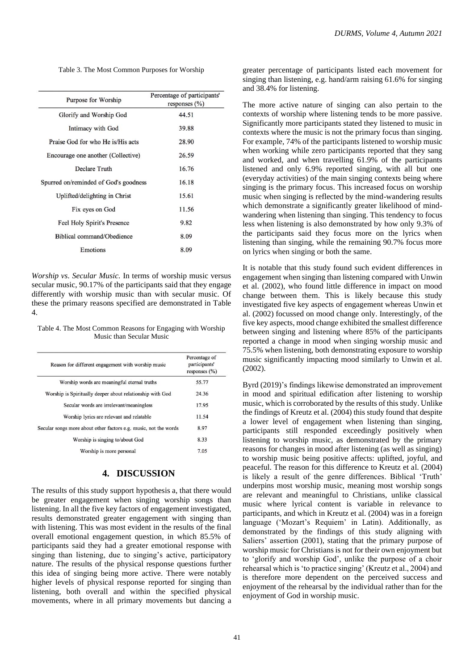Table 3. The Most Common Purposes for Worship

| Purpose for Worship                   | Percentage of participants'<br>responses $(\% )$ |
|---------------------------------------|--------------------------------------------------|
| Glorify and Worship God               | 44.51                                            |
| Intimacy with God                     | 39.88                                            |
| Praise God for who He is/His acts     | 28.90                                            |
| Encourage one another (Collective)    | 26.59                                            |
| Declare Truth                         | 16.76                                            |
| Spurred on/reminded of God's goodness | 16.18                                            |
| Uplifted/delighting in Christ         | 15.61                                            |
| Fix eyes on God                       | 11.56                                            |
| Feel Holy Spirit's Presence           | 9.82                                             |
| Biblical command/Obedience            | 8.09                                             |
| Emotions                              | 8.09                                             |

*Worship vs. Secular Music.* In terms of worship music versus secular music, 90.17% of the participants said that they engage differently with worship music than with secular music. Of these the primary reasons specified are demonstrated in Table 4.

Table 4. The Most Common Reasons for Engaging with Worship Music than Secular Music

| Reason for different engagement with worship music               | Percentage of<br>participants'<br>responses $(\% )$ |
|------------------------------------------------------------------|-----------------------------------------------------|
| Worship words are meaningful eternal truths                      | 55.77                                               |
| Worship is Spiritually deeper about relationship with God        | 24.36                                               |
| Secular words are irrelevant/meaningless                         | 17.95                                               |
| Worship lyrics are relevant and relatable                        | 11.54                                               |
| Secular songs more about other factors e.g. music, not the words | 8.97                                                |
| Worship is singing to/about God                                  | 8.33                                                |
| Worship is more personal                                         | 7.05                                                |

# **4. DISCUSSION**

The results of this study support hypothesis a, that there would be greater engagement when singing worship songs than listening. In all the five key factors of engagement investigated, results demonstrated greater engagement with singing than with listening. This was most evident in the results of the final overall emotional engagement question, in which 85.5% of participants said they had a greater emotional response with singing than listening, due to singing's active, participatory nature. The results of the physical response questions further this idea of singing being more active. There were notably higher levels of physical response reported for singing than listening, both overall and within the specified physical movements, where in all primary movements but dancing a

greater percentage of participants listed each movement for singing than listening, e.g. hand/arm raising 61.6% for singing and 38.4% for listening.

The more active nature of singing can also pertain to the contexts of worship where listening tends to be more passive. Significantly more participants stated they listened to music in contexts where the music is not the primary focus than singing. For example, 74% of the participants listened to worship music when working while zero participants reported that they sang and worked, and when travelling 61.9% of the participants listened and only 6.9% reported singing, with all but one (everyday activities) of the main singing contexts being where singing is the primary focus. This increased focus on worship music when singing is reflected by the mind-wandering results which demonstrate a significantly greater likelihood of mindwandering when listening than singing. This tendency to focus less when listening is also demonstrated by how only 9.3% of the participants said they focus more on the lyrics when listening than singing, while the remaining 90.7% focus more on lyrics when singing or both the same.

It is notable that this study found such evident differences in engagement when singing than listening compared with Unwin et al. (2002), who found little difference in impact on mood change between them. This is likely because this study investigated five key aspects of engagement whereas Unwin et al. (2002) focussed on mood change only. Interestingly, of the five key aspects, mood change exhibited the smallest difference between singing and listening where 85% of the participants reported a change in mood when singing worship music and 75.5% when listening, both demonstrating exposure to worship music significantly impacting mood similarly to Unwin et al. (2002).

Byrd (2019)'s findings likewise demonstrated an improvement in mood and spiritual edification after listening to worship music, which is corroborated by the results of this study. Unlike the findings of Kreutz et al. (2004) this study found that despite a lower level of engagement when listening than singing, participants still responded exceedingly positively when listening to worship music, as demonstrated by the primary reasons for changes in mood after listening (as well as singing) to worship music being positive affects: uplifted, joyful, and peaceful. The reason for this difference to Kreutz et al. (2004) is likely a result of the genre differences. Biblical 'Truth' underpins most worship music, meaning most worship songs are relevant and meaningful to Christians, unlike classical music where lyrical content is variable in relevance to participants, and which in Kreutz et al. (2004) was in a foreign language ('Mozart's Requiem' in Latin). Additionally, as demonstrated by the findings of this study aligning with Saliers' assertion (2001), stating that the primary purpose of worship music for Christians is not for their own enjoyment but to 'glorify and worship God', unlike the purpose of a choir rehearsal which is 'to practice singing' (Kreutz et al., 2004) and is therefore more dependent on the perceived success and enjoyment of the rehearsal by the individual rather than for the enjoyment of God in worship music.